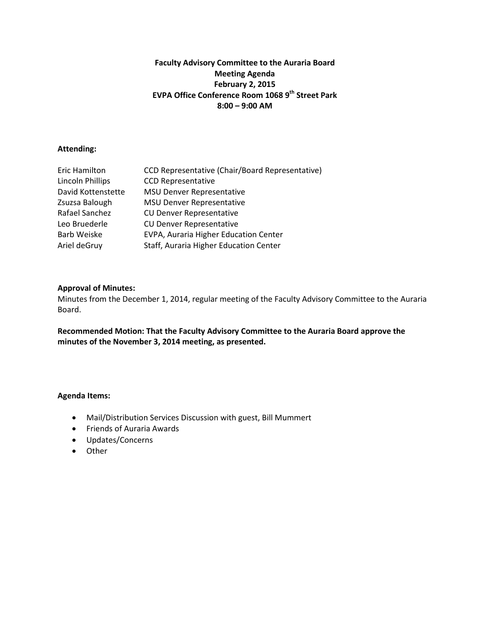# **Faculty Advisory Committee to the Auraria Board Meeting Agenda February 2, 2015 EVPA Office Conference Room 1068 9th Street Park 8:00 – 9:00 AM**

# **Attending:**

| Eric Hamilton      | CCD Representative (Chair/Board Representative) |
|--------------------|-------------------------------------------------|
| Lincoln Phillips   | <b>CCD Representative</b>                       |
| David Kottenstette | <b>MSU Denver Representative</b>                |
| Zsuzsa Balough     | <b>MSU Denver Representative</b>                |
| Rafael Sanchez     | <b>CU Denver Representative</b>                 |
| Leo Bruederle      | <b>CU Denver Representative</b>                 |
| <b>Barb Weiske</b> | EVPA, Auraria Higher Education Center           |
| Ariel deGruy       | Staff, Auraria Higher Education Center          |

#### **Approval of Minutes:**

Minutes from the December 1, 2014, regular meeting of the Faculty Advisory Committee to the Auraria Board.

**Recommended Motion: That the Faculty Advisory Committee to the Auraria Board approve the minutes of the November 3, 2014 meeting, as presented.** 

- Mail/Distribution Services Discussion with guest, Bill Mummert
- Friends of Auraria Awards
- Updates/Concerns
- Other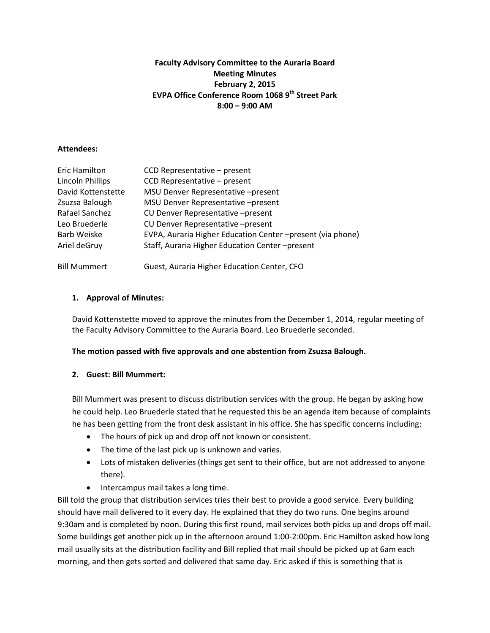# **Faculty Advisory Committee to the Auraria Board Meeting Minutes February 2, 2015 EVPA Office Conference Room 1068 9th Street Park 8:00 – 9:00 AM**

#### **Attendees:**

| Eric Hamilton       | CCD Representative - present                              |
|---------------------|-----------------------------------------------------------|
| Lincoln Phillips    | CCD Representative - present                              |
| David Kottenstette  | MSU Denver Representative -present                        |
| Zsuzsa Balough      | MSU Denver Representative -present                        |
| Rafael Sanchez      | CU Denver Representative -present                         |
| Leo Bruederle       | CU Denver Representative -present                         |
| Barb Weiske         | EVPA, Auraria Higher Education Center-present (via phone) |
| Ariel deGruy        | Staff, Auraria Higher Education Center-present            |
| <b>Bill Mummert</b> | Guest, Auraria Higher Education Center, CFO               |

# **1. Approval of Minutes:**

David Kottenstette moved to approve the minutes from the December 1, 2014, regular meeting of the Faculty Advisory Committee to the Auraria Board. Leo Bruederle seconded.

# **The motion passed with five approvals and one abstention from Zsuzsa Balough.**

# **2. Guest: Bill Mummert:**

Bill Mummert was present to discuss distribution services with the group. He began by asking how he could help. Leo Bruederle stated that he requested this be an agenda item because of complaints he has been getting from the front desk assistant in his office. She has specific concerns including:

- The hours of pick up and drop off not known or consistent.
- The time of the last pick up is unknown and varies.
- Lots of mistaken deliveries (things get sent to their office, but are not addressed to anyone there).
- Intercampus mail takes a long time.

Bill told the group that distribution services tries their best to provide a good service. Every building should have mail delivered to it every day. He explained that they do two runs. One begins around 9:30am and is completed by noon. During this first round, mail services both picks up and drops off mail. Some buildings get another pick up in the afternoon around 1:00-2:00pm. Eric Hamilton asked how long mail usually sits at the distribution facility and Bill replied that mail should be picked up at 6am each morning, and then gets sorted and delivered that same day. Eric asked if this is something that is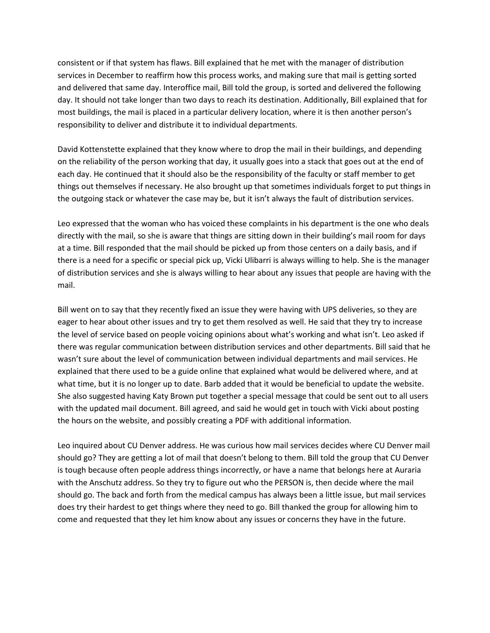consistent or if that system has flaws. Bill explained that he met with the manager of distribution services in December to reaffirm how this process works, and making sure that mail is getting sorted and delivered that same day. Interoffice mail, Bill told the group, is sorted and delivered the following day. It should not take longer than two days to reach its destination. Additionally, Bill explained that for most buildings, the mail is placed in a particular delivery location, where it is then another person's responsibility to deliver and distribute it to individual departments.

David Kottenstette explained that they know where to drop the mail in their buildings, and depending on the reliability of the person working that day, it usually goes into a stack that goes out at the end of each day. He continued that it should also be the responsibility of the faculty or staff member to get things out themselves if necessary. He also brought up that sometimes individuals forget to put things in the outgoing stack or whatever the case may be, but it isn't always the fault of distribution services.

Leo expressed that the woman who has voiced these complaints in his department is the one who deals directly with the mail, so she is aware that things are sitting down in their building's mail room for days at a time. Bill responded that the mail should be picked up from those centers on a daily basis, and if there is a need for a specific or special pick up, Vicki Ulibarri is always willing to help. She is the manager of distribution services and she is always willing to hear about any issues that people are having with the mail.

Bill went on to say that they recently fixed an issue they were having with UPS deliveries, so they are eager to hear about other issues and try to get them resolved as well. He said that they try to increase the level of service based on people voicing opinions about what's working and what isn't. Leo asked if there was regular communication between distribution services and other departments. Bill said that he wasn't sure about the level of communication between individual departments and mail services. He explained that there used to be a guide online that explained what would be delivered where, and at what time, but it is no longer up to date. Barb added that it would be beneficial to update the website. She also suggested having Katy Brown put together a special message that could be sent out to all users with the updated mail document. Bill agreed, and said he would get in touch with Vicki about posting the hours on the website, and possibly creating a PDF with additional information.

Leo inquired about CU Denver address. He was curious how mail services decides where CU Denver mail should go? They are getting a lot of mail that doesn't belong to them. Bill told the group that CU Denver is tough because often people address things incorrectly, or have a name that belongs here at Auraria with the Anschutz address. So they try to figure out who the PERSON is, then decide where the mail should go. The back and forth from the medical campus has always been a little issue, but mail services does try their hardest to get things where they need to go. Bill thanked the group for allowing him to come and requested that they let him know about any issues or concerns they have in the future.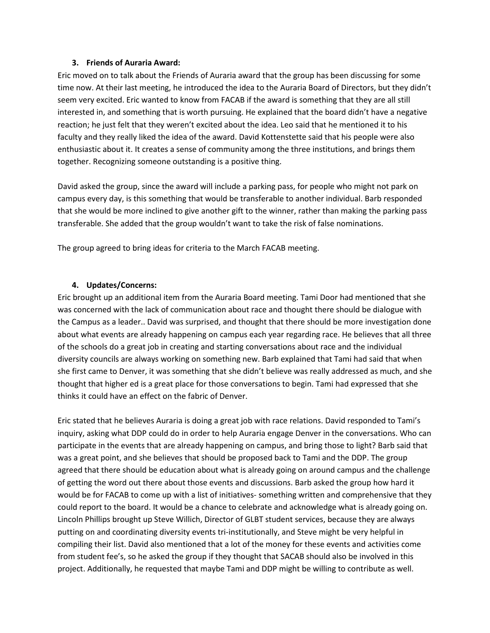#### **3. Friends of Auraria Award:**

Eric moved on to talk about the Friends of Auraria award that the group has been discussing for some time now. At their last meeting, he introduced the idea to the Auraria Board of Directors, but they didn't seem very excited. Eric wanted to know from FACAB if the award is something that they are all still interested in, and something that is worth pursuing. He explained that the board didn't have a negative reaction; he just felt that they weren't excited about the idea. Leo said that he mentioned it to his faculty and they really liked the idea of the award. David Kottenstette said that his people were also enthusiastic about it. It creates a sense of community among the three institutions, and brings them together. Recognizing someone outstanding is a positive thing.

David asked the group, since the award will include a parking pass, for people who might not park on campus every day, is this something that would be transferable to another individual. Barb responded that she would be more inclined to give another gift to the winner, rather than making the parking pass transferable. She added that the group wouldn't want to take the risk of false nominations.

The group agreed to bring ideas for criteria to the March FACAB meeting.

# **4. Updates/Concerns:**

Eric brought up an additional item from the Auraria Board meeting. Tami Door had mentioned that she was concerned with the lack of communication about race and thought there should be dialogue with the Campus as a leader.. David was surprised, and thought that there should be more investigation done about what events are already happening on campus each year regarding race. He believes that all three of the schools do a great job in creating and starting conversations about race and the individual diversity councils are always working on something new. Barb explained that Tami had said that when she first came to Denver, it was something that she didn't believe was really addressed as much, and she thought that higher ed is a great place for those conversations to begin. Tami had expressed that she thinks it could have an effect on the fabric of Denver.

Eric stated that he believes Auraria is doing a great job with race relations. David responded to Tami's inquiry, asking what DDP could do in order to help Auraria engage Denver in the conversations. Who can participate in the events that are already happening on campus, and bring those to light? Barb said that was a great point, and she believes that should be proposed back to Tami and the DDP. The group agreed that there should be education about what is already going on around campus and the challenge of getting the word out there about those events and discussions. Barb asked the group how hard it would be for FACAB to come up with a list of initiatives- something written and comprehensive that they could report to the board. It would be a chance to celebrate and acknowledge what is already going on. Lincoln Phillips brought up Steve Willich, Director of GLBT student services, because they are always putting on and coordinating diversity events tri-institutionally, and Steve might be very helpful in compiling their list. David also mentioned that a lot of the money for these events and activities come from student fee's, so he asked the group if they thought that SACAB should also be involved in this project. Additionally, he requested that maybe Tami and DDP might be willing to contribute as well.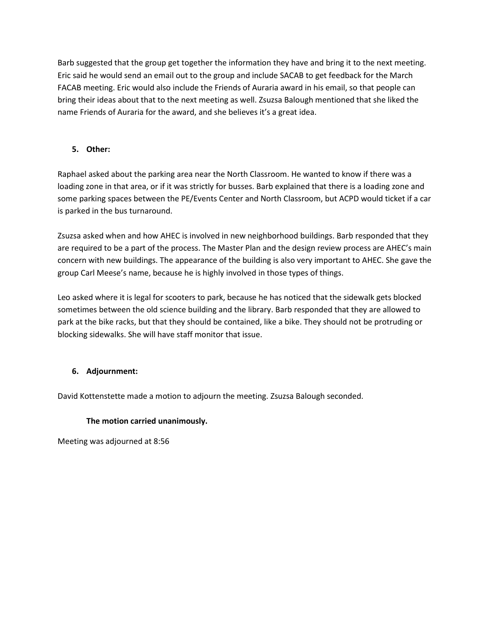Barb suggested that the group get together the information they have and bring it to the next meeting. Eric said he would send an email out to the group and include SACAB to get feedback for the March FACAB meeting. Eric would also include the Friends of Auraria award in his email, so that people can bring their ideas about that to the next meeting as well. Zsuzsa Balough mentioned that she liked the name Friends of Auraria for the award, and she believes it's a great idea.

# **5. Other:**

Raphael asked about the parking area near the North Classroom. He wanted to know if there was a loading zone in that area, or if it was strictly for busses. Barb explained that there is a loading zone and some parking spaces between the PE/Events Center and North Classroom, but ACPD would ticket if a car is parked in the bus turnaround.

Zsuzsa asked when and how AHEC is involved in new neighborhood buildings. Barb responded that they are required to be a part of the process. The Master Plan and the design review process are AHEC's main concern with new buildings. The appearance of the building is also very important to AHEC. She gave the group Carl Meese's name, because he is highly involved in those types of things.

Leo asked where it is legal for scooters to park, because he has noticed that the sidewalk gets blocked sometimes between the old science building and the library. Barb responded that they are allowed to park at the bike racks, but that they should be contained, like a bike. They should not be protruding or blocking sidewalks. She will have staff monitor that issue.

# **6. Adjournment:**

David Kottenstette made a motion to adjourn the meeting. Zsuzsa Balough seconded.

# **The motion carried unanimously.**

Meeting was adjourned at 8:56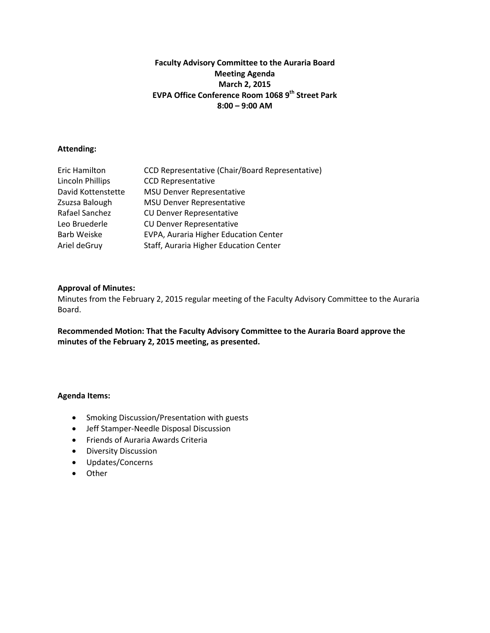# **Faculty Advisory Committee to the Auraria Board Meeting Agenda March 2, 2015 EVPA Office Conference Room 1068 9th Street Park 8:00 – 9:00 AM**

# **Attending:**

| Eric Hamilton      | CCD Representative (Chair/Board Representative) |
|--------------------|-------------------------------------------------|
| Lincoln Phillips   | <b>CCD Representative</b>                       |
| David Kottenstette | <b>MSU Denver Representative</b>                |
| Zsuzsa Balough     | <b>MSU Denver Representative</b>                |
| Rafael Sanchez     | <b>CU Denver Representative</b>                 |
| Leo Bruederle      | <b>CU Denver Representative</b>                 |
| <b>Barb Weiske</b> | EVPA, Auraria Higher Education Center           |
| Ariel deGruy       | Staff, Auraria Higher Education Center          |

# **Approval of Minutes:**

Minutes from the February 2, 2015 regular meeting of the Faculty Advisory Committee to the Auraria Board.

**Recommended Motion: That the Faculty Advisory Committee to the Auraria Board approve the minutes of the February 2, 2015 meeting, as presented.** 

- Smoking Discussion/Presentation with guests
- Jeff Stamper-Needle Disposal Discussion
- Friends of Auraria Awards Criteria
- Diversity Discussion
- Updates/Concerns
- Other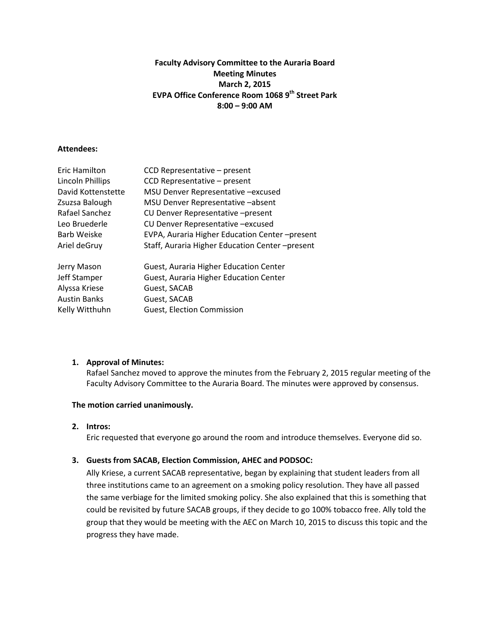# **Faculty Advisory Committee to the Auraria Board Meeting Minutes March 2, 2015 EVPA Office Conference Room 1068 9th Street Park 8:00 – 9:00 AM**

#### **Attendees:**

| Eric Hamilton       | CCD Representative - present                   |
|---------------------|------------------------------------------------|
| Lincoln Phillips    | CCD Representative - present                   |
| David Kottenstette  | MSU Denver Representative -excused             |
| Zsuzsa Balough      | MSU Denver Representative -absent              |
| Rafael Sanchez      | CU Denver Representative -present              |
| Leo Bruederle       | CU Denver Representative -excused              |
| Barb Weiske         | EVPA, Auraria Higher Education Center-present  |
| Ariel deGruy        | Staff, Auraria Higher Education Center-present |
| Jerry Mason         | Guest, Auraria Higher Education Center         |
| Jeff Stamper        | Guest, Auraria Higher Education Center         |
| Alyssa Kriese       | Guest, SACAB                                   |
| <b>Austin Banks</b> | Guest, SACAB                                   |
| Kelly Witthuhn      | <b>Guest, Election Commission</b>              |
|                     |                                                |

# **1. Approval of Minutes:**

Rafael Sanchez moved to approve the minutes from the February 2, 2015 regular meeting of the Faculty Advisory Committee to the Auraria Board. The minutes were approved by consensus.

#### **The motion carried unanimously.**

#### **2. Intros:**

Eric requested that everyone go around the room and introduce themselves. Everyone did so.

# **3. Guests from SACAB, Election Commission, AHEC and PODSOC:**

Ally Kriese, a current SACAB representative, began by explaining that student leaders from all three institutions came to an agreement on a smoking policy resolution. They have all passed the same verbiage for the limited smoking policy. She also explained that this is something that could be revisited by future SACAB groups, if they decide to go 100% tobacco free. Ally told the group that they would be meeting with the AEC on March 10, 2015 to discuss this topic and the progress they have made.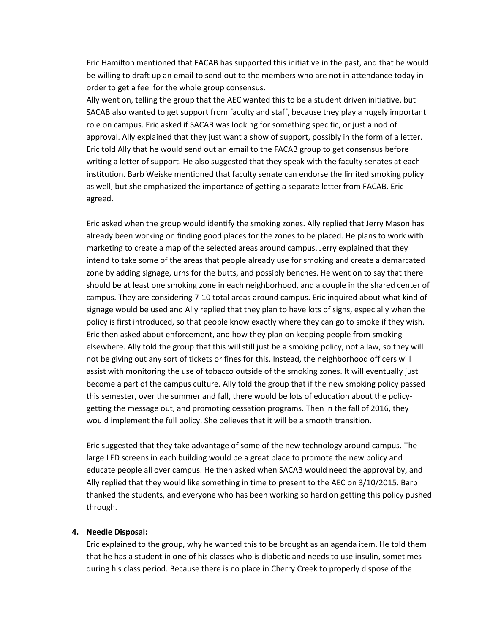Eric Hamilton mentioned that FACAB has supported this initiative in the past, and that he would be willing to draft up an email to send out to the members who are not in attendance today in order to get a feel for the whole group consensus.

Ally went on, telling the group that the AEC wanted this to be a student driven initiative, but SACAB also wanted to get support from faculty and staff, because they play a hugely important role on campus. Eric asked if SACAB was looking for something specific, or just a nod of approval. Ally explained that they just want a show of support, possibly in the form of a letter. Eric told Ally that he would send out an email to the FACAB group to get consensus before writing a letter of support. He also suggested that they speak with the faculty senates at each institution. Barb Weiske mentioned that faculty senate can endorse the limited smoking policy as well, but she emphasized the importance of getting a separate letter from FACAB. Eric agreed.

Eric asked when the group would identify the smoking zones. Ally replied that Jerry Mason has already been working on finding good places for the zones to be placed. He plans to work with marketing to create a map of the selected areas around campus. Jerry explained that they intend to take some of the areas that people already use for smoking and create a demarcated zone by adding signage, urns for the butts, and possibly benches. He went on to say that there should be at least one smoking zone in each neighborhood, and a couple in the shared center of campus. They are considering 7-10 total areas around campus. Eric inquired about what kind of signage would be used and Ally replied that they plan to have lots of signs, especially when the policy is first introduced, so that people know exactly where they can go to smoke if they wish. Eric then asked about enforcement, and how they plan on keeping people from smoking elsewhere. Ally told the group that this will still just be a smoking policy, not a law, so they will not be giving out any sort of tickets or fines for this. Instead, the neighborhood officers will assist with monitoring the use of tobacco outside of the smoking zones. It will eventually just become a part of the campus culture. Ally told the group that if the new smoking policy passed this semester, over the summer and fall, there would be lots of education about the policygetting the message out, and promoting cessation programs. Then in the fall of 2016, they would implement the full policy. She believes that it will be a smooth transition.

Eric suggested that they take advantage of some of the new technology around campus. The large LED screens in each building would be a great place to promote the new policy and educate people all over campus. He then asked when SACAB would need the approval by, and Ally replied that they would like something in time to present to the AEC on 3/10/2015. Barb thanked the students, and everyone who has been working so hard on getting this policy pushed through.

#### **4. Needle Disposal:**

Eric explained to the group, why he wanted this to be brought as an agenda item. He told them that he has a student in one of his classes who is diabetic and needs to use insulin, sometimes during his class period. Because there is no place in Cherry Creek to properly dispose of the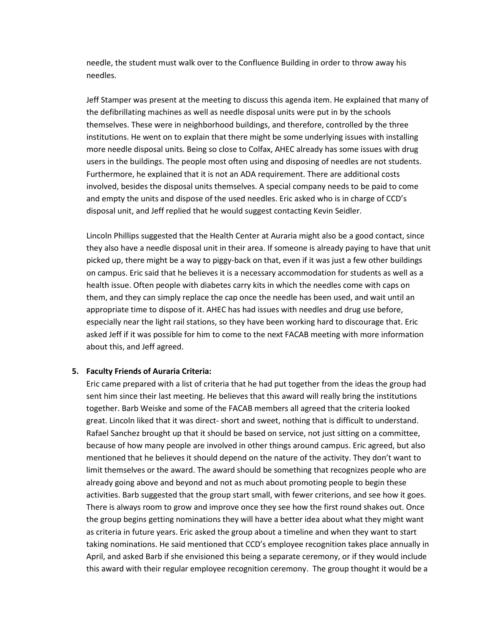needle, the student must walk over to the Confluence Building in order to throw away his needles.

Jeff Stamper was present at the meeting to discuss this agenda item. He explained that many of the defibrillating machines as well as needle disposal units were put in by the schools themselves. These were in neighborhood buildings, and therefore, controlled by the three institutions. He went on to explain that there might be some underlying issues with installing more needle disposal units. Being so close to Colfax, AHEC already has some issues with drug users in the buildings. The people most often using and disposing of needles are not students. Furthermore, he explained that it is not an ADA requirement. There are additional costs involved, besides the disposal units themselves. A special company needs to be paid to come and empty the units and dispose of the used needles. Eric asked who is in charge of CCD's disposal unit, and Jeff replied that he would suggest contacting Kevin Seidler.

Lincoln Phillips suggested that the Health Center at Auraria might also be a good contact, since they also have a needle disposal unit in their area. If someone is already paying to have that unit picked up, there might be a way to piggy-back on that, even if it was just a few other buildings on campus. Eric said that he believes it is a necessary accommodation for students as well as a health issue. Often people with diabetes carry kits in which the needles come with caps on them, and they can simply replace the cap once the needle has been used, and wait until an appropriate time to dispose of it. AHEC has had issues with needles and drug use before, especially near the light rail stations, so they have been working hard to discourage that. Eric asked Jeff if it was possible for him to come to the next FACAB meeting with more information about this, and Jeff agreed.

#### **5. Faculty Friends of Auraria Criteria:**

Eric came prepared with a list of criteria that he had put together from the ideas the group had sent him since their last meeting. He believes that this award will really bring the institutions together. Barb Weiske and some of the FACAB members all agreed that the criteria looked great. Lincoln liked that it was direct- short and sweet, nothing that is difficult to understand. Rafael Sanchez brought up that it should be based on service, not just sitting on a committee, because of how many people are involved in other things around campus. Eric agreed, but also mentioned that he believes it should depend on the nature of the activity. They don't want to limit themselves or the award. The award should be something that recognizes people who are already going above and beyond and not as much about promoting people to begin these activities. Barb suggested that the group start small, with fewer criterions, and see how it goes. There is always room to grow and improve once they see how the first round shakes out. Once the group begins getting nominations they will have a better idea about what they might want as criteria in future years. Eric asked the group about a timeline and when they want to start taking nominations. He said mentioned that CCD's employee recognition takes place annually in April, and asked Barb if she envisioned this being a separate ceremony, or if they would include this award with their regular employee recognition ceremony. The group thought it would be a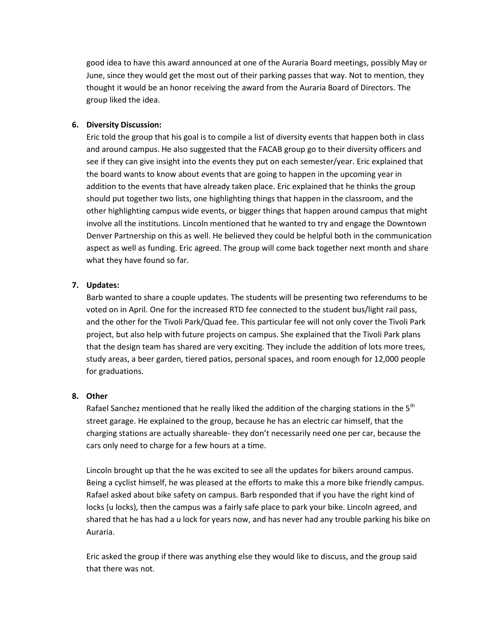good idea to have this award announced at one of the Auraria Board meetings, possibly May or June, since they would get the most out of their parking passes that way. Not to mention, they thought it would be an honor receiving the award from the Auraria Board of Directors. The group liked the idea.

# **6. Diversity Discussion:**

Eric told the group that his goal is to compile a list of diversity events that happen both in class and around campus. He also suggested that the FACAB group go to their diversity officers and see if they can give insight into the events they put on each semester/year. Eric explained that the board wants to know about events that are going to happen in the upcoming year in addition to the events that have already taken place. Eric explained that he thinks the group should put together two lists, one highlighting things that happen in the classroom, and the other highlighting campus wide events, or bigger things that happen around campus that might involve all the institutions. Lincoln mentioned that he wanted to try and engage the Downtown Denver Partnership on this as well. He believed they could be helpful both in the communication aspect as well as funding. Eric agreed. The group will come back together next month and share what they have found so far.

# **7. Updates:**

Barb wanted to share a couple updates. The students will be presenting two referendums to be voted on in April. One for the increased RTD fee connected to the student bus/light rail pass, and the other for the Tivoli Park/Quad fee. This particular fee will not only cover the Tivoli Park project, but also help with future projects on campus. She explained that the Tivoli Park plans that the design team has shared are very exciting. They include the addition of lots more trees, study areas, a beer garden, tiered patios, personal spaces, and room enough for 12,000 people for graduations.

# **8. Other**

Rafael Sanchez mentioned that he really liked the addition of the charging stations in the  $5<sup>th</sup>$ street garage. He explained to the group, because he has an electric car himself, that the charging stations are actually shareable- they don't necessarily need one per car, because the cars only need to charge for a few hours at a time.

Lincoln brought up that the he was excited to see all the updates for bikers around campus. Being a cyclist himself, he was pleased at the efforts to make this a more bike friendly campus. Rafael asked about bike safety on campus. Barb responded that if you have the right kind of locks (u locks), then the campus was a fairly safe place to park your bike. Lincoln agreed, and shared that he has had a u lock for years now, and has never had any trouble parking his bike on Auraria.

Eric asked the group if there was anything else they would like to discuss, and the group said that there was not.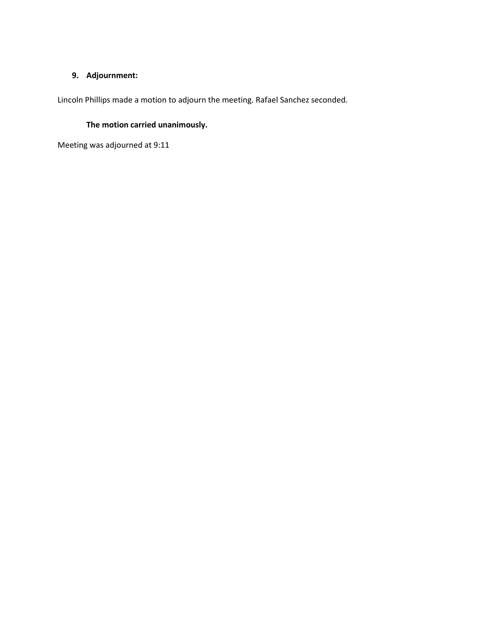# **9. Adjournment:**

Lincoln Phillips made a motion to adjourn the meeting. Rafael Sanchez seconded.

# **The motion carried unanimously.**

Meeting was adjourned at 9:11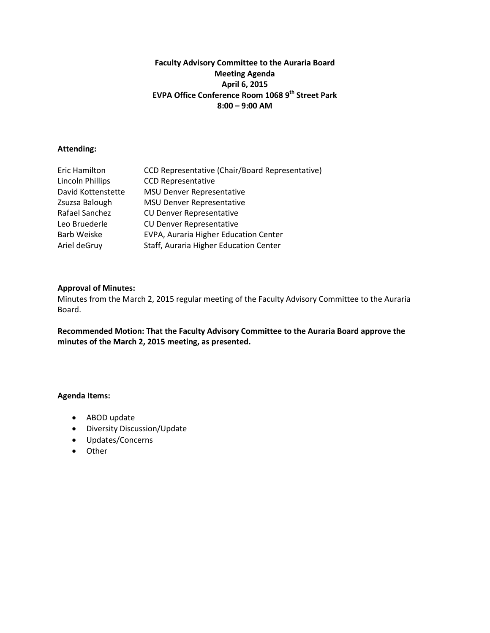# **Faculty Advisory Committee to the Auraria Board Meeting Agenda April 6, 2015 EVPA Office Conference Room 1068 9th Street Park 8:00 – 9:00 AM**

# **Attending:**

| Eric Hamilton      | CCD Representative (Chair/Board Representative) |
|--------------------|-------------------------------------------------|
| Lincoln Phillips   | <b>CCD Representative</b>                       |
| David Kottenstette | <b>MSU Denver Representative</b>                |
| Zsuzsa Balough     | <b>MSU Denver Representative</b>                |
| Rafael Sanchez     | <b>CU Denver Representative</b>                 |
| Leo Bruederle      | <b>CU Denver Representative</b>                 |
| <b>Barb Weiske</b> | EVPA, Auraria Higher Education Center           |
| Ariel deGruy       | Staff, Auraria Higher Education Center          |

# **Approval of Minutes:**

Minutes from the March 2, 2015 regular meeting of the Faculty Advisory Committee to the Auraria Board.

**Recommended Motion: That the Faculty Advisory Committee to the Auraria Board approve the minutes of the March 2, 2015 meeting, as presented.** 

- ABOD update
- Diversity Discussion/Update
- Updates/Concerns
- Other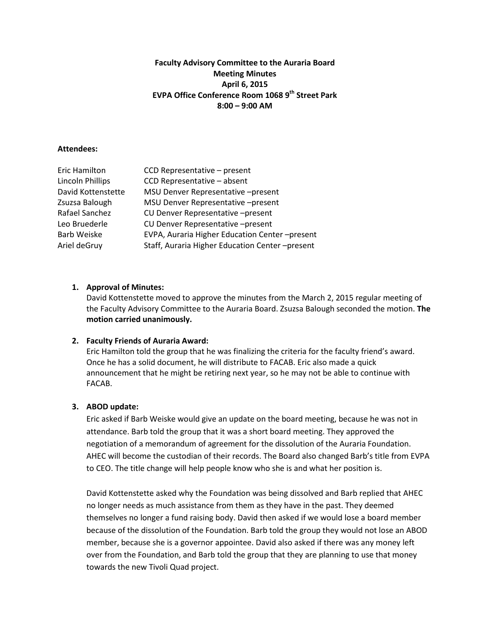# **Faculty Advisory Committee to the Auraria Board Meeting Minutes April 6, 2015 EVPA Office Conference Room 1068 9th Street Park 8:00 – 9:00 AM**

#### **Attendees:**

| Eric Hamilton      | CCD Representative - present                   |
|--------------------|------------------------------------------------|
| Lincoln Phillips   | CCD Representative - absent                    |
| David Kottenstette | MSU Denver Representative -present             |
| Zsuzsa Balough     | MSU Denver Representative -present             |
| Rafael Sanchez     | CU Denver Representative -present              |
| Leo Bruederle      | CU Denver Representative -present              |
| Barb Weiske        | EVPA, Auraria Higher Education Center-present  |
| Ariel deGruy       | Staff, Auraria Higher Education Center-present |
|                    |                                                |

# **1. Approval of Minutes:**

David Kottenstette moved to approve the minutes from the March 2, 2015 regular meeting of the Faculty Advisory Committee to the Auraria Board. Zsuzsa Balough seconded the motion. **The motion carried unanimously.** 

#### **2. Faculty Friends of Auraria Award:**

Eric Hamilton told the group that he was finalizing the criteria for the faculty friend's award. Once he has a solid document, he will distribute to FACAB. Eric also made a quick announcement that he might be retiring next year, so he may not be able to continue with FACAB.

# **3. ABOD update:**

Eric asked if Barb Weiske would give an update on the board meeting, because he was not in attendance. Barb told the group that it was a short board meeting. They approved the negotiation of a memorandum of agreement for the dissolution of the Auraria Foundation. AHEC will become the custodian of their records. The Board also changed Barb's title from EVPA to CEO. The title change will help people know who she is and what her position is.

David Kottenstette asked why the Foundation was being dissolved and Barb replied that AHEC no longer needs as much assistance from them as they have in the past. They deemed themselves no longer a fund raising body. David then asked if we would lose a board member because of the dissolution of the Foundation. Barb told the group they would not lose an ABOD member, because she is a governor appointee. David also asked if there was any money left over from the Foundation, and Barb told the group that they are planning to use that money towards the new Tivoli Quad project.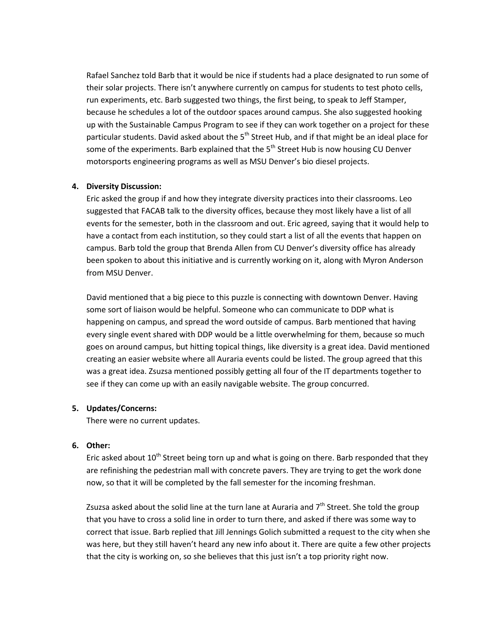Rafael Sanchez told Barb that it would be nice if students had a place designated to run some of their solar projects. There isn't anywhere currently on campus for students to test photo cells, run experiments, etc. Barb suggested two things, the first being, to speak to Jeff Stamper, because he schedules a lot of the outdoor spaces around campus. She also suggested hooking up with the Sustainable Campus Program to see if they can work together on a project for these particular students. David asked about the 5<sup>th</sup> Street Hub, and if that might be an ideal place for some of the experiments. Barb explained that the  $5<sup>th</sup>$  Street Hub is now housing CU Denver motorsports engineering programs as well as MSU Denver's bio diesel projects.

#### **4. Diversity Discussion:**

Eric asked the group if and how they integrate diversity practices into their classrooms. Leo suggested that FACAB talk to the diversity offices, because they most likely have a list of all events for the semester, both in the classroom and out. Eric agreed, saying that it would help to have a contact from each institution, so they could start a list of all the events that happen on campus. Barb told the group that Brenda Allen from CU Denver's diversity office has already been spoken to about this initiative and is currently working on it, along with Myron Anderson from MSU Denver.

David mentioned that a big piece to this puzzle is connecting with downtown Denver. Having some sort of liaison would be helpful. Someone who can communicate to DDP what is happening on campus, and spread the word outside of campus. Barb mentioned that having every single event shared with DDP would be a little overwhelming for them, because so much goes on around campus, but hitting topical things, like diversity is a great idea. David mentioned creating an easier website where all Auraria events could be listed. The group agreed that this was a great idea. Zsuzsa mentioned possibly getting all four of the IT departments together to see if they can come up with an easily navigable website. The group concurred.

# **5. Updates/Concerns:**

There were no current updates.

#### **6. Other:**

Eric asked about  $10^{th}$  Street being torn up and what is going on there. Barb responded that they are refinishing the pedestrian mall with concrete pavers. They are trying to get the work done now, so that it will be completed by the fall semester for the incoming freshman.

Zsuzsa asked about the solid line at the turn lane at Auraria and  $7<sup>th</sup>$  Street. She told the group that you have to cross a solid line in order to turn there, and asked if there was some way to correct that issue. Barb replied that Jill Jennings Golich submitted a request to the city when she was here, but they still haven't heard any new info about it. There are quite a few other projects that the city is working on, so she believes that this just isn't a top priority right now.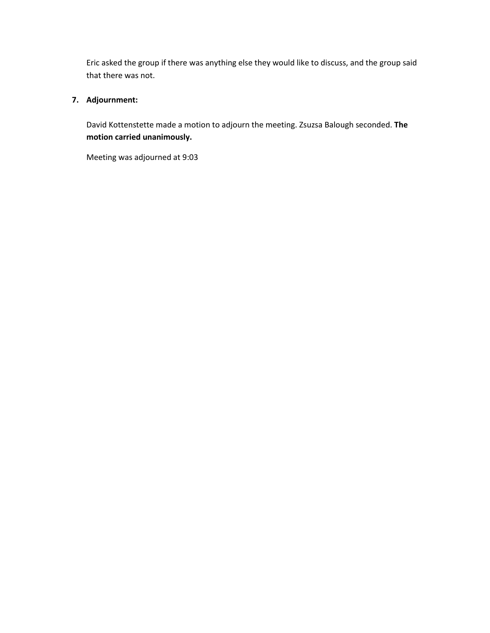Eric asked the group if there was anything else they would like to discuss, and the group said that there was not.

# **7. Adjournment:**

David Kottenstette made a motion to adjourn the meeting. Zsuzsa Balough seconded. **The motion carried unanimously.** 

Meeting was adjourned at 9:03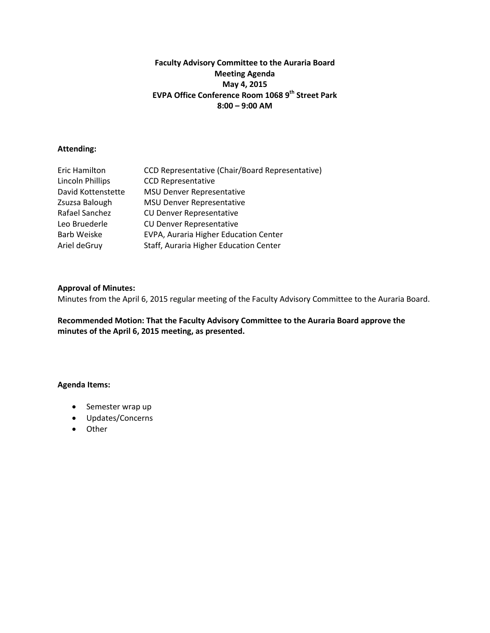# **Faculty Advisory Committee to the Auraria Board Meeting Agenda May 4, 2015 EVPA Office Conference Room 1068 9th Street Park 8:00 – 9:00 AM**

# **Attending:**

| Eric Hamilton      | CCD Representative (Chair/Board Representative) |
|--------------------|-------------------------------------------------|
| Lincoln Phillips   | <b>CCD Representative</b>                       |
| David Kottenstette | <b>MSU Denver Representative</b>                |
| Zsuzsa Balough     | <b>MSU Denver Representative</b>                |
| Rafael Sanchez     | <b>CU Denver Representative</b>                 |
| Leo Bruederle      | <b>CU Denver Representative</b>                 |
| <b>Barb Weiske</b> | EVPA, Auraria Higher Education Center           |
| Ariel deGruy       | Staff, Auraria Higher Education Center          |

# **Approval of Minutes:**

Minutes from the April 6, 2015 regular meeting of the Faculty Advisory Committee to the Auraria Board.

**Recommended Motion: That the Faculty Advisory Committee to the Auraria Board approve the minutes of the April 6, 2015 meeting, as presented.** 

- Semester wrap up
- Updates/Concerns
- Other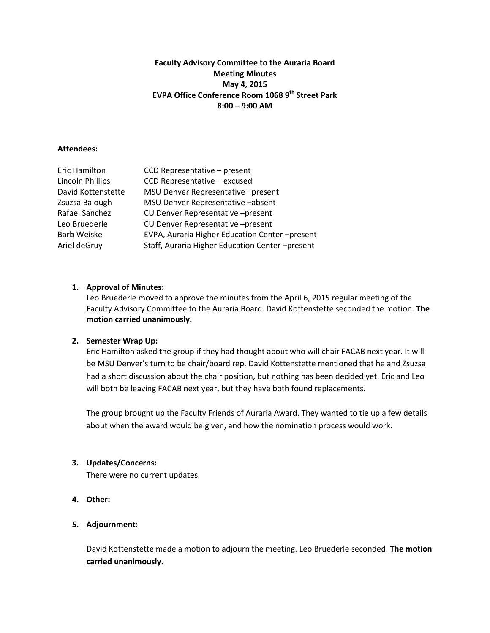# **Faculty Advisory Committee to the Auraria Board Meeting Minutes May 4, 2015 EVPA Office Conference Room 1068 9th Street Park 8:00 – 9:00 AM**

#### **Attendees:**

| Eric Hamilton      | CCD Representative - present                   |
|--------------------|------------------------------------------------|
| Lincoln Phillips   | CCD Representative - excused                   |
| David Kottenstette | MSU Denver Representative -present             |
| Zsuzsa Balough     | MSU Denver Representative -absent              |
| Rafael Sanchez     | CU Denver Representative -present              |
| Leo Bruederle      | CU Denver Representative -present              |
| <b>Barb Weiske</b> | EVPA, Auraria Higher Education Center-present  |
| Ariel deGruy       | Staff, Auraria Higher Education Center-present |

# **1. Approval of Minutes:**

Leo Bruederle moved to approve the minutes from the April 6, 2015 regular meeting of the Faculty Advisory Committee to the Auraria Board. David Kottenstette seconded the motion. **The motion carried unanimously.** 

# **2. Semester Wrap Up:**

Eric Hamilton asked the group if they had thought about who will chair FACAB next year. It will be MSU Denver's turn to be chair/board rep. David Kottenstette mentioned that he and Zsuzsa had a short discussion about the chair position, but nothing has been decided yet. Eric and Leo will both be leaving FACAB next year, but they have both found replacements.

The group brought up the Faculty Friends of Auraria Award. They wanted to tie up a few details about when the award would be given, and how the nomination process would work.

#### **3. Updates/Concerns:**

There were no current updates.

**4. Other:** 

# **5. Adjournment:**

David Kottenstette made a motion to adjourn the meeting. Leo Bruederle seconded. **The motion carried unanimously.**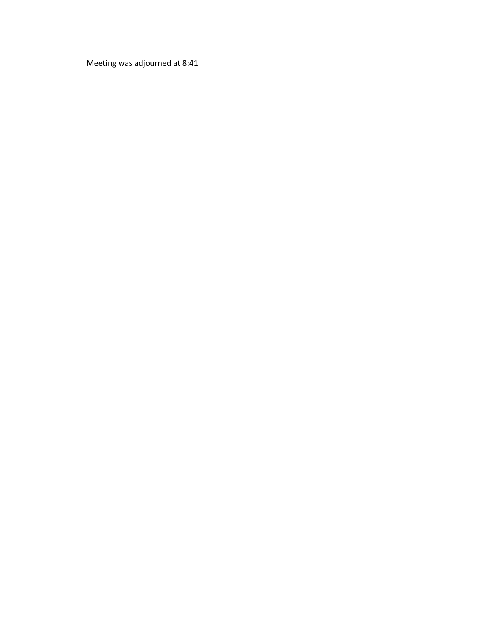Meeting was adjourned at 8:41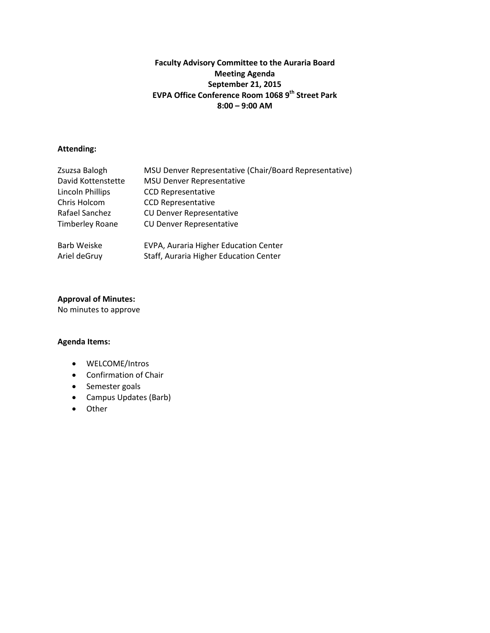# **Faculty Advisory Committee to the Auraria Board Meeting Agenda September 21, 2015 EVPA Office Conference Room 1068 9th Street Park 8:00 – 9:00 AM**

### **Attending:**

| Zsuzsa Balogh          | MSU Denver Representative (Chair/Board Representative) |
|------------------------|--------------------------------------------------------|
| David Kottenstette     | <b>MSU Denver Representative</b>                       |
| Lincoln Phillips       | <b>CCD Representative</b>                              |
| Chris Holcom           | <b>CCD Representative</b>                              |
| Rafael Sanchez         | <b>CU Denver Representative</b>                        |
| <b>Timberley Roane</b> | <b>CU Denver Representative</b>                        |
| Barb Weiske            | EVPA, Auraria Higher Education Center                  |
|                        |                                                        |
| Ariel deGruy           | Staff, Auraria Higher Education Center                 |

# **Approval of Minutes:**

No minutes to approve

- WELCOME/Intros
- Confirmation of Chair
- Semester goals
- Campus Updates (Barb)
- Other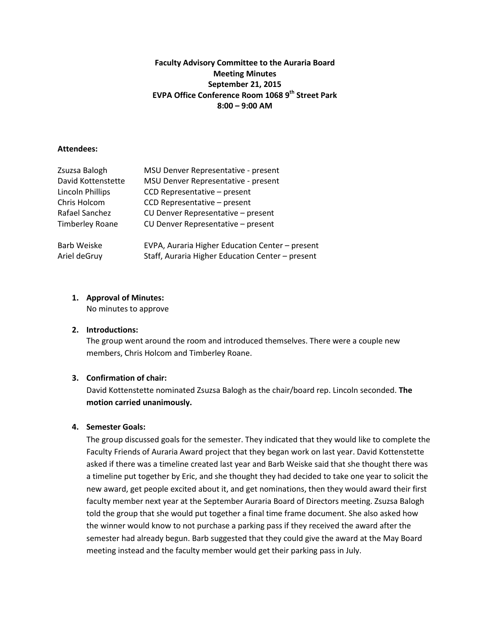# **Faculty Advisory Committee to the Auraria Board Meeting Minutes September 21, 2015 EVPA Office Conference Room 1068 9th Street Park 8:00 – 9:00 AM**

### **Attendees:**

| Zsuzsa Balogh          | MSU Denver Representative - present              |
|------------------------|--------------------------------------------------|
| David Kottenstette     | MSU Denver Representative - present              |
| Lincoln Phillips       | CCD Representative - present                     |
| Chris Holcom           | CCD Representative - present                     |
| Rafael Sanchez         | CU Denver Representative - present               |
| <b>Timberley Roane</b> | CU Denver Representative - present               |
| Barb Weiske            | EVPA, Auraria Higher Education Center - present  |
| Ariel deGruy           | Staff, Auraria Higher Education Center - present |

# **1. Approval of Minutes:**

No minutes to approve

# **2. Introductions:**

The group went around the room and introduced themselves. There were a couple new members, Chris Holcom and Timberley Roane.

# **3. Confirmation of chair:**

David Kottenstette nominated Zsuzsa Balogh as the chair/board rep. Lincoln seconded. **The motion carried unanimously.** 

# **4. Semester Goals:**

The group discussed goals for the semester. They indicated that they would like to complete the Faculty Friends of Auraria Award project that they began work on last year. David Kottenstette asked if there was a timeline created last year and Barb Weiske said that she thought there was a timeline put together by Eric, and she thought they had decided to take one year to solicit the new award, get people excited about it, and get nominations, then they would award their first faculty member next year at the September Auraria Board of Directors meeting. Zsuzsa Balogh told the group that she would put together a final time frame document. She also asked how the winner would know to not purchase a parking pass if they received the award after the semester had already begun. Barb suggested that they could give the award at the May Board meeting instead and the faculty member would get their parking pass in July.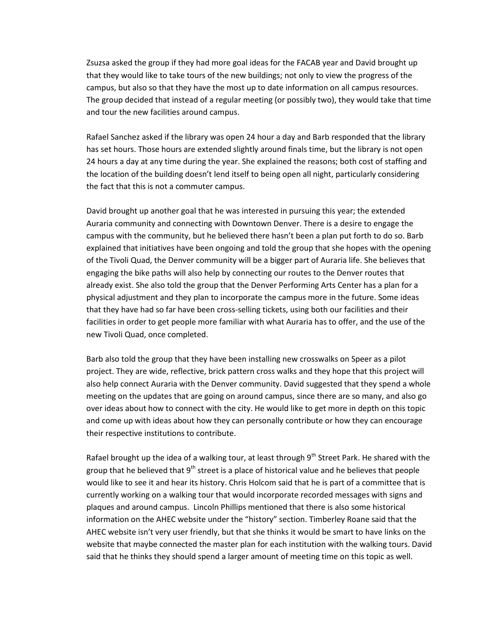Zsuzsa asked the group if they had more goal ideas for the FACAB year and David brought up that they would like to take tours of the new buildings; not only to view the progress of the campus, but also so that they have the most up to date information on all campus resources. The group decided that instead of a regular meeting (or possibly two), they would take that time and tour the new facilities around campus.

Rafael Sanchez asked if the library was open 24 hour a day and Barb responded that the library has set hours. Those hours are extended slightly around finals time, but the library is not open 24 hours a day at any time during the year. She explained the reasons; both cost of staffing and the location of the building doesn't lend itself to being open all night, particularly considering the fact that this is not a commuter campus.

David brought up another goal that he was interested in pursuing this year; the extended Auraria community and connecting with Downtown Denver. There is a desire to engage the campus with the community, but he believed there hasn't been a plan put forth to do so. Barb explained that initiatives have been ongoing and told the group that she hopes with the opening of the Tivoli Quad, the Denver community will be a bigger part of Auraria life. She believes that engaging the bike paths will also help by connecting our routes to the Denver routes that already exist. She also told the group that the Denver Performing Arts Center has a plan for a physical adjustment and they plan to incorporate the campus more in the future. Some ideas that they have had so far have been cross-selling tickets, using both our facilities and their facilities in order to get people more familiar with what Auraria has to offer, and the use of the new Tivoli Quad, once completed.

Barb also told the group that they have been installing new crosswalks on Speer as a pilot project. They are wide, reflective, brick pattern cross walks and they hope that this project will also help connect Auraria with the Denver community. David suggested that they spend a whole meeting on the updates that are going on around campus, since there are so many, and also go over ideas about how to connect with the city. He would like to get more in depth on this topic and come up with ideas about how they can personally contribute or how they can encourage their respective institutions to contribute.

Rafael brought up the idea of a walking tour, at least through 9<sup>th</sup> Street Park. He shared with the group that he believed that  $9<sup>th</sup>$  street is a place of historical value and he believes that people would like to see it and hear its history. Chris Holcom said that he is part of a committee that is currently working on a walking tour that would incorporate recorded messages with signs and plaques and around campus. Lincoln Phillips mentioned that there is also some historical information on the AHEC website under the "history" section. Timberley Roane said that the AHEC website isn't very user friendly, but that she thinks it would be smart to have links on the website that maybe connected the master plan for each institution with the walking tours. David said that he thinks they should spend a larger amount of meeting time on this topic as well.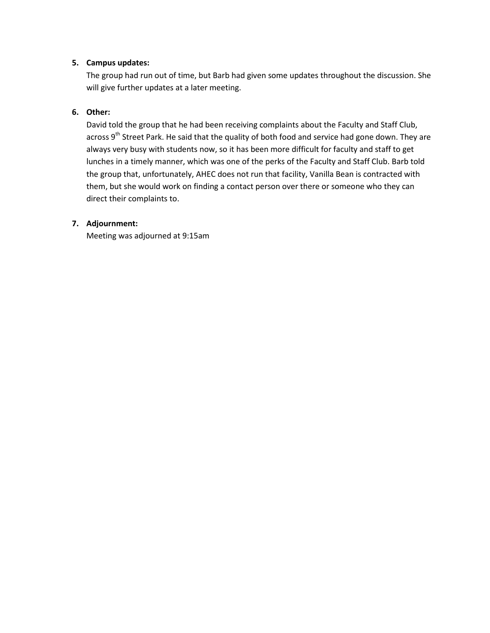# **5. Campus updates:**

The group had run out of time, but Barb had given some updates throughout the discussion. She will give further updates at a later meeting.

# **6. Other:**

David told the group that he had been receiving complaints about the Faculty and Staff Club, across  $9<sup>th</sup>$  Street Park. He said that the quality of both food and service had gone down. They are always very busy with students now, so it has been more difficult for faculty and staff to get lunches in a timely manner, which was one of the perks of the Faculty and Staff Club. Barb told the group that, unfortunately, AHEC does not run that facility, Vanilla Bean is contracted with them, but she would work on finding a contact person over there or someone who they can direct their complaints to.

# **7. Adjournment:**

Meeting was adjourned at 9:15am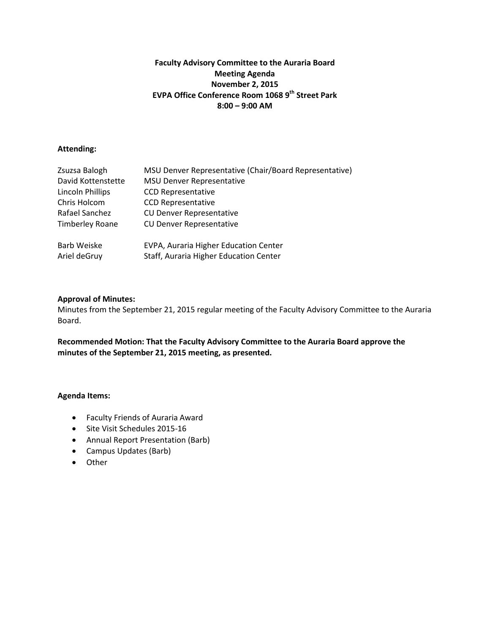# **Faculty Advisory Committee to the Auraria Board Meeting Agenda November 2, 2015 EVPA Office Conference Room 1068 9th Street Park 8:00 – 9:00 AM**

# **Attending:**

| Zsuzsa Balogh           | MSU Denver Representative (Chair/Board Representative) |
|-------------------------|--------------------------------------------------------|
| David Kottenstette      | <b>MSU Denver Representative</b>                       |
| <b>Lincoln Phillips</b> | <b>CCD Representative</b>                              |
| Chris Holcom            | <b>CCD Representative</b>                              |
| Rafael Sanchez          | <b>CU Denver Representative</b>                        |
| <b>Timberley Roane</b>  | <b>CU Denver Representative</b>                        |
| Barb Weiske             | EVPA, Auraria Higher Education Center                  |
| Ariel deGruy            | Staff, Auraria Higher Education Center                 |

# **Approval of Minutes:**

Minutes from the September 21, 2015 regular meeting of the Faculty Advisory Committee to the Auraria Board.

**Recommended Motion: That the Faculty Advisory Committee to the Auraria Board approve the minutes of the September 21, 2015 meeting, as presented.** 

- Faculty Friends of Auraria Award
- Site Visit Schedules 2015-16
- Annual Report Presentation (Barb)
- Campus Updates (Barb)
- Other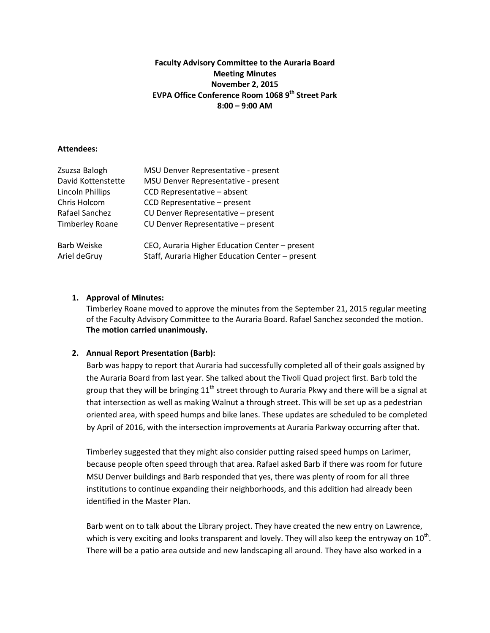# **Faculty Advisory Committee to the Auraria Board Meeting Minutes November 2, 2015 EVPA Office Conference Room 1068 9th Street Park 8:00 – 9:00 AM**

#### **Attendees:**

| Zsuzsa Balogh          | MSU Denver Representative - present              |
|------------------------|--------------------------------------------------|
| David Kottenstette     | MSU Denver Representative - present              |
| Lincoln Phillips       | CCD Representative - absent                      |
| Chris Holcom           | CCD Representative - present                     |
| Rafael Sanchez         | CU Denver Representative - present               |
| <b>Timberley Roane</b> | CU Denver Representative - present               |
| Barb Weiske            | CEO, Auraria Higher Education Center - present   |
| Ariel deGruy           | Staff, Auraria Higher Education Center - present |

# **1. Approval of Minutes:**

Timberley Roane moved to approve the minutes from the September 21, 2015 regular meeting of the Faculty Advisory Committee to the Auraria Board. Rafael Sanchez seconded the motion. **The motion carried unanimously.**

# **2. Annual Report Presentation (Barb):**

Barb was happy to report that Auraria had successfully completed all of their goals assigned by the Auraria Board from last year. She talked about the Tivoli Quad project first. Barb told the group that they will be bringing  $11<sup>th</sup>$  street through to Auraria Pkwy and there will be a signal at that intersection as well as making Walnut a through street. This will be set up as a pedestrian oriented area, with speed humps and bike lanes. These updates are scheduled to be completed by April of 2016, with the intersection improvements at Auraria Parkway occurring after that.

Timberley suggested that they might also consider putting raised speed humps on Larimer, because people often speed through that area. Rafael asked Barb if there was room for future MSU Denver buildings and Barb responded that yes, there was plenty of room for all three institutions to continue expanding their neighborhoods, and this addition had already been identified in the Master Plan.

Barb went on to talk about the Library project. They have created the new entry on Lawrence, which is very exciting and looks transparent and lovely. They will also keep the entryway on  $10<sup>th</sup>$ . There will be a patio area outside and new landscaping all around. They have also worked in a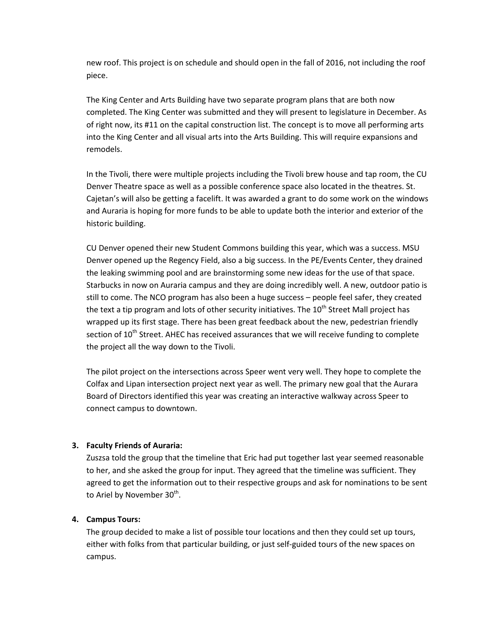new roof. This project is on schedule and should open in the fall of 2016, not including the roof piece.

The King Center and Arts Building have two separate program plans that are both now completed. The King Center was submitted and they will present to legislature in December. As of right now, its #11 on the capital construction list. The concept is to move all performing arts into the King Center and all visual arts into the Arts Building. This will require expansions and remodels.

In the Tivoli, there were multiple projects including the Tivoli brew house and tap room, the CU Denver Theatre space as well as a possible conference space also located in the theatres. St. Cajetan's will also be getting a facelift. It was awarded a grant to do some work on the windows and Auraria is hoping for more funds to be able to update both the interior and exterior of the historic building.

CU Denver opened their new Student Commons building this year, which was a success. MSU Denver opened up the Regency Field, also a big success. In the PE/Events Center, they drained the leaking swimming pool and are brainstorming some new ideas for the use of that space. Starbucks in now on Auraria campus and they are doing incredibly well. A new, outdoor patio is still to come. The NCO program has also been a huge success – people feel safer, they created the text a tip program and lots of other security initiatives. The 10<sup>th</sup> Street Mall project has wrapped up its first stage. There has been great feedback about the new, pedestrian friendly section of 10<sup>th</sup> Street. AHEC has received assurances that we will receive funding to complete the project all the way down to the Tivoli.

The pilot project on the intersections across Speer went very well. They hope to complete the Colfax and Lipan intersection project next year as well. The primary new goal that the Aurara Board of Directors identified this year was creating an interactive walkway across Speer to connect campus to downtown.

# **3. Faculty Friends of Auraria:**

Zuszsa told the group that the timeline that Eric had put together last year seemed reasonable to her, and she asked the group for input. They agreed that the timeline was sufficient. They agreed to get the information out to their respective groups and ask for nominations to be sent to Ariel by November 30<sup>th</sup>.

# **4. Campus Tours:**

The group decided to make a list of possible tour locations and then they could set up tours, either with folks from that particular building, or just self-guided tours of the new spaces on campus.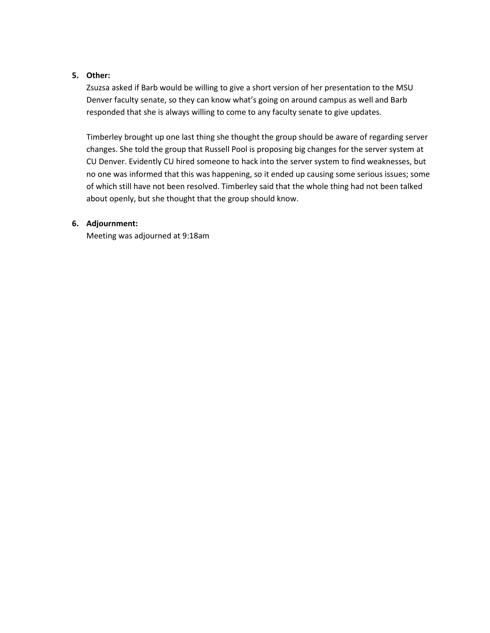# **5. Other:**

Zsuzsa asked if Barb would be willing to give a short version of her presentation to the MSU Denver faculty senate, so they can know what's going on around campus as well and Barb responded that she is always willing to come to any faculty senate to give updates.

Timberley brought up one last thing she thought the group should be aware of regarding server changes. She told the group that Russell Pool is proposing big changes for the server system at CU Denver. Evidently CU hired someone to hack into the server system to find weaknesses, but no one was informed that this was happening, so it ended up causing some serious issues; some of which still have not been resolved. Timberley said that the whole thing had not been talked about openly, but she thought that the group should know.

# **6. Adjournment:**

Meeting was adjourned at 9:18am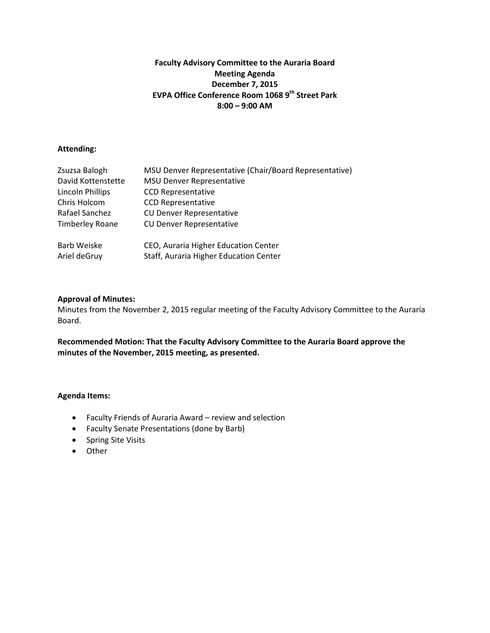# **Faculty Advisory Committee to the Auraria Board Meeting Agenda December 7, 2015 EVPA Office Conference Room 1068 9th Street Park 8:00 – 9:00 AM**

# **Attending:**

| Zsuzsa Balogh           | MSU Denver Representative (Chair/Board Representative) |
|-------------------------|--------------------------------------------------------|
| David Kottenstette      | <b>MSU Denver Representative</b>                       |
| <b>Lincoln Phillips</b> | <b>CCD Representative</b>                              |
| Chris Holcom            | <b>CCD Representative</b>                              |
| Rafael Sanchez          | <b>CU Denver Representative</b>                        |
| <b>Timberley Roane</b>  | <b>CU Denver Representative</b>                        |
| Barb Weiske             | CEO, Auraria Higher Education Center                   |
| Ariel deGruy            | Staff, Auraria Higher Education Center                 |

# **Approval of Minutes:**

Minutes from the November 2, 2015 regular meeting of the Faculty Advisory Committee to the Auraria Board.

**Recommended Motion: That the Faculty Advisory Committee to the Auraria Board approve the minutes of the November, 2015 meeting, as presented.** 

- Faculty Friends of Auraria Award review and selection
- Faculty Senate Presentations (done by Barb)
- Spring Site Visits
- Other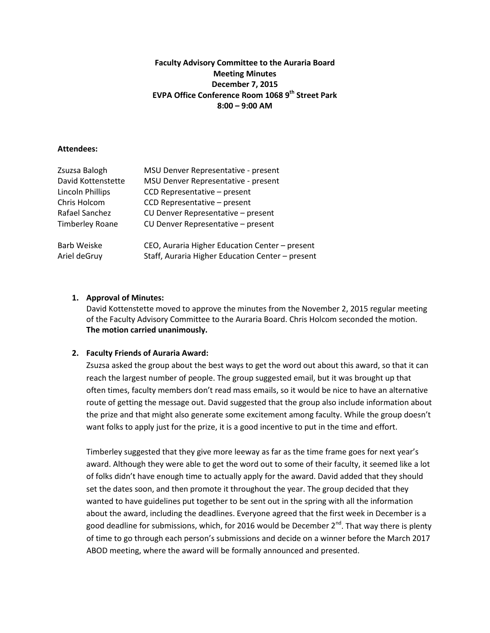# **Faculty Advisory Committee to the Auraria Board Meeting Minutes December 7, 2015 EVPA Office Conference Room 1068 9th Street Park 8:00 – 9:00 AM**

#### **Attendees:**

| Zsuzsa Balogh           | MSU Denver Representative - present              |
|-------------------------|--------------------------------------------------|
| David Kottenstette      | MSU Denver Representative - present              |
| <b>Lincoln Phillips</b> | CCD Representative - present                     |
| Chris Holcom            | CCD Representative - present                     |
| Rafael Sanchez          | CU Denver Representative - present               |
| <b>Timberley Roane</b>  | CU Denver Representative - present               |
| <b>Barb Weiske</b>      | CEO, Auraria Higher Education Center - present   |
| Ariel deGruy            | Staff, Auraria Higher Education Center - present |

# **1. Approval of Minutes:**

David Kottenstette moved to approve the minutes from the November 2, 2015 regular meeting of the Faculty Advisory Committee to the Auraria Board. Chris Holcom seconded the motion. **The motion carried unanimously.**

# **2. Faculty Friends of Auraria Award:**

Zsuzsa asked the group about the best ways to get the word out about this award, so that it can reach the largest number of people. The group suggested email, but it was brought up that often times, faculty members don't read mass emails, so it would be nice to have an alternative route of getting the message out. David suggested that the group also include information about the prize and that might also generate some excitement among faculty. While the group doesn't want folks to apply just for the prize, it is a good incentive to put in the time and effort.

Timberley suggested that they give more leeway as far as the time frame goes for next year's award. Although they were able to get the word out to some of their faculty, it seemed like a lot of folks didn't have enough time to actually apply for the award. David added that they should set the dates soon, and then promote it throughout the year. The group decided that they wanted to have guidelines put together to be sent out in the spring with all the information about the award, including the deadlines. Everyone agreed that the first week in December is a good deadline for submissions, which, for 2016 would be December 2<sup>nd</sup>. That way there is plenty of time to go through each person's submissions and decide on a winner before the March 2017 ABOD meeting, where the award will be formally announced and presented.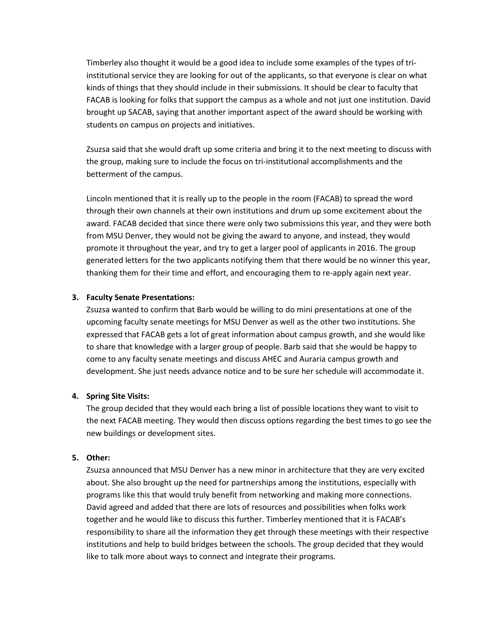Timberley also thought it would be a good idea to include some examples of the types of triinstitutional service they are looking for out of the applicants, so that everyone is clear on what kinds of things that they should include in their submissions. It should be clear to faculty that FACAB is looking for folks that support the campus as a whole and not just one institution. David brought up SACAB, saying that another important aspect of the award should be working with students on campus on projects and initiatives.

Zsuzsa said that she would draft up some criteria and bring it to the next meeting to discuss with the group, making sure to include the focus on tri-institutional accomplishments and the betterment of the campus.

Lincoln mentioned that it is really up to the people in the room (FACAB) to spread the word through their own channels at their own institutions and drum up some excitement about the award. FACAB decided that since there were only two submissions this year, and they were both from MSU Denver, they would not be giving the award to anyone, and instead, they would promote it throughout the year, and try to get a larger pool of applicants in 2016. The group generated letters for the two applicants notifying them that there would be no winner this year, thanking them for their time and effort, and encouraging them to re-apply again next year.

# **3. Faculty Senate Presentations:**

Zsuzsa wanted to confirm that Barb would be willing to do mini presentations at one of the upcoming faculty senate meetings for MSU Denver as well as the other two institutions. She expressed that FACAB gets a lot of great information about campus growth, and she would like to share that knowledge with a larger group of people. Barb said that she would be happy to come to any faculty senate meetings and discuss AHEC and Auraria campus growth and development. She just needs advance notice and to be sure her schedule will accommodate it.

# **4. Spring Site Visits:**

The group decided that they would each bring a list of possible locations they want to visit to the next FACAB meeting. They would then discuss options regarding the best times to go see the new buildings or development sites.

#### **5. Other:**

Zsuzsa announced that MSU Denver has a new minor in architecture that they are very excited about. She also brought up the need for partnerships among the institutions, especially with programs like this that would truly benefit from networking and making more connections. David agreed and added that there are lots of resources and possibilities when folks work together and he would like to discuss this further. Timberley mentioned that it is FACAB's responsibility to share all the information they get through these meetings with their respective institutions and help to build bridges between the schools. The group decided that they would like to talk more about ways to connect and integrate their programs.